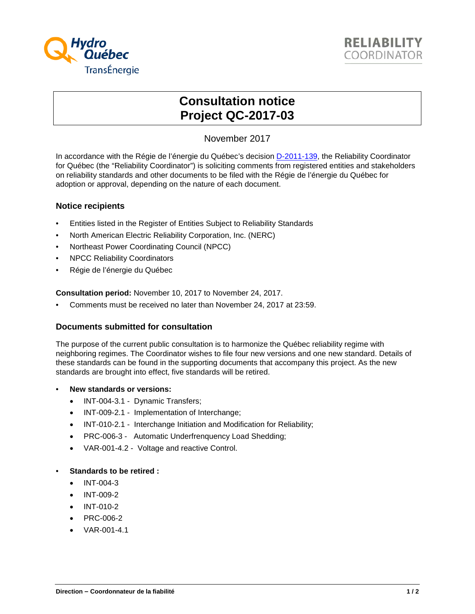



# **Consultation notice Project QC-2017-03**

## November 2017

In accordance with the Régie de l'énergie du Québec's decision **D-2011-139**, the Reliability Coordinator for Québec (the "Reliability Coordinator") is soliciting comments from registered entities and stakeholders on reliability standards and other documents to be filed with the Régie de l'énergie du Québec for adoption or approval, depending on the nature of each document.

#### **Notice recipients**

- Entities listed in the Register of Entities Subject to Reliability Standards
- North American Electric Reliability Corporation, Inc. (NERC)
- Northeast Power Coordinating Council (NPCC)
- NPCC Reliability Coordinators
- Régie de l'énergie du Québec

**Consultation period:** November 10, 2017 to November 24, 2017.

• Comments must be received no later than November 24, 2017 at 23:59.

#### **Documents submitted for consultation**

The purpose of the current public consultation is to harmonize the Québec reliability regime with neighboring regimes. The Coordinator wishes to file four new versions and one new standard. Details of these standards can be found in the supporting documents that accompany this project. As the new standards are brought into effect, five standards will be retired.

- **New standards or versions:** 
	- INT-004-3.1 Dynamic Transfers;
	- INT-009-2.1 Implementation of Interchange;
	- INT-010-2.1 Interchange Initiation and Modification for Reliability;
	- PRC-006-3 Automatic Underfrenquency Load Shedding;
	- VAR-001-4.2 Voltage and reactive Control.

#### • **Standards to be retired :**

- INT-004-3
- INT-009-2
- INT-010-2
- PRC-006-2
- VAR-001-4.1